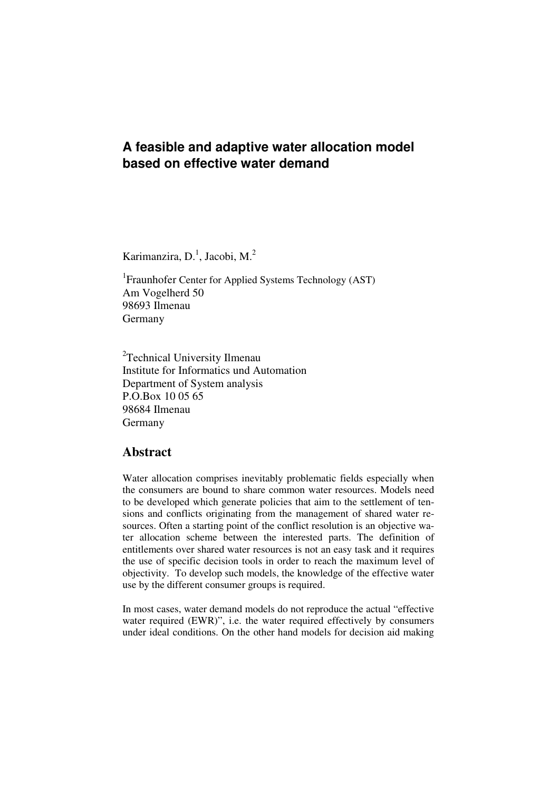# **A feasible and adaptive water allocation model based on effective water demand**

Karimanzira, D.<sup>1</sup>, Jacobi, M.<sup>2</sup>

<sup>1</sup> Fraunhofer Center for Applied Systems Technology (AST) Am Vogelherd 50 98693 Ilmenau Germany

<sup>2</sup>Technical University Ilmenau Institute for Informatics und Automation Department of System analysis P.O.Box 10 05 65 98684 Ilmenau Germany

# **Abstract**

Water allocation comprises inevitably problematic fields especially when the consumers are bound to share common water resources. Models need to be developed which generate policies that aim to the settlement of tensions and conflicts originating from the management of shared water resources. Often a starting point of the conflict resolution is an objective water allocation scheme between the interested parts. The definition of entitlements over shared water resources is not an easy task and it requires the use of specific decision tools in order to reach the maximum level of objectivity. To develop such models, the knowledge of the effective water use by the different consumer groups is required.

In most cases, water demand models do not reproduce the actual "effective water required (EWR)", i.e. the water required effectively by consumers under ideal conditions. On the other hand models for decision aid making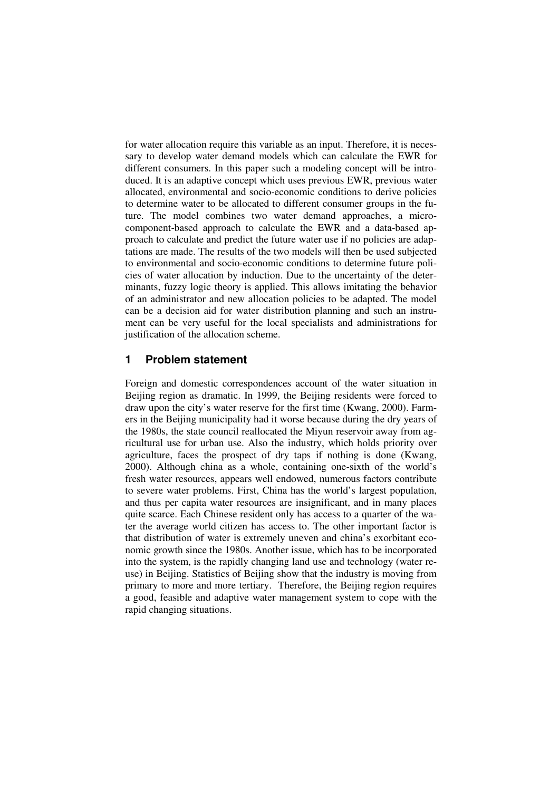for water allocation require this variable as an input. Therefore, it is necessary to develop water demand models which can calculate the EWR for different consumers. In this paper such a modeling concept will be introduced. It is an adaptive concept which uses previous EWR, previous water allocated, environmental and socio-economic conditions to derive policies to determine water to be allocated to different consumer groups in the future. The model combines two water demand approaches, a microcomponent-based approach to calculate the EWR and a data-based approach to calculate and predict the future water use if no policies are adaptations are made. The results of the two models will then be used subjected to environmental and socio-economic conditions to determine future policies of water allocation by induction. Due to the uncertainty of the determinants, fuzzy logic theory is applied. This allows imitating the behavior of an administrator and new allocation policies to be adapted. The model can be a decision aid for water distribution planning and such an instrument can be very useful for the local specialists and administrations for justification of the allocation scheme.

## **1 Problem statement**

Foreign and domestic correspondences account of the water situation in Beijing region as dramatic. In 1999, the Beijing residents were forced to draw upon the city's water reserve for the first time (Kwang, 2000). Farmers in the Beijing municipality had it worse because during the dry years of the 1980s, the state council reallocated the Miyun reservoir away from agricultural use for urban use. Also the industry, which holds priority over agriculture, faces the prospect of dry taps if nothing is done (Kwang, 2000). Although china as a whole, containing one-sixth of the world's fresh water resources, appears well endowed, numerous factors contribute to severe water problems. First, China has the world's largest population, and thus per capita water resources are insignificant, and in many places quite scarce. Each Chinese resident only has access to a quarter of the water the average world citizen has access to. The other important factor is that distribution of water is extremely uneven and china's exorbitant economic growth since the 1980s. Another issue, which has to be incorporated into the system, is the rapidly changing land use and technology (water reuse) in Beijing. Statistics of Beijing show that the industry is moving from primary to more and more tertiary. Therefore, the Beijing region requires a good, feasible and adaptive water management system to cope with the rapid changing situations.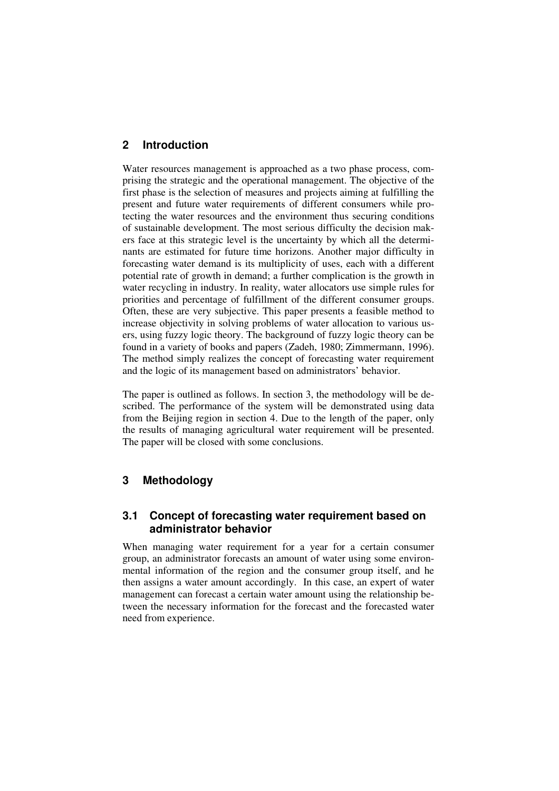# **2 Introduction**

Water resources management is approached as a two phase process, comprising the strategic and the operational management. The objective of the first phase is the selection of measures and projects aiming at fulfilling the present and future water requirements of different consumers while protecting the water resources and the environment thus securing conditions of sustainable development. The most serious difficulty the decision makers face at this strategic level is the uncertainty by which all the determinants are estimated for future time horizons. Another major difficulty in forecasting water demand is its multiplicity of uses, each with a different potential rate of growth in demand; a further complication is the growth in water recycling in industry. In reality, water allocators use simple rules for priorities and percentage of fulfillment of the different consumer groups. Often, these are very subjective. This paper presents a feasible method to increase objectivity in solving problems of water allocation to various users, using fuzzy logic theory. The background of fuzzy logic theory can be found in a variety of books and papers (Zadeh, 1980; Zimmermann, 1996). The method simply realizes the concept of forecasting water requirement and the logic of its management based on administrators' behavior.

The paper is outlined as follows. In section 3, the methodology will be described. The performance of the system will be demonstrated using data from the Beijing region in section 4. Due to the length of the paper, only the results of managing agricultural water requirement will be presented. The paper will be closed with some conclusions.

# **3 Methodology**

## **3.1 Concept of forecasting water requirement based on administrator behavior**

When managing water requirement for a year for a certain consumer group, an administrator forecasts an amount of water using some environmental information of the region and the consumer group itself, and he then assigns a water amount accordingly. In this case, an expert of water management can forecast a certain water amount using the relationship between the necessary information for the forecast and the forecasted water need from experience.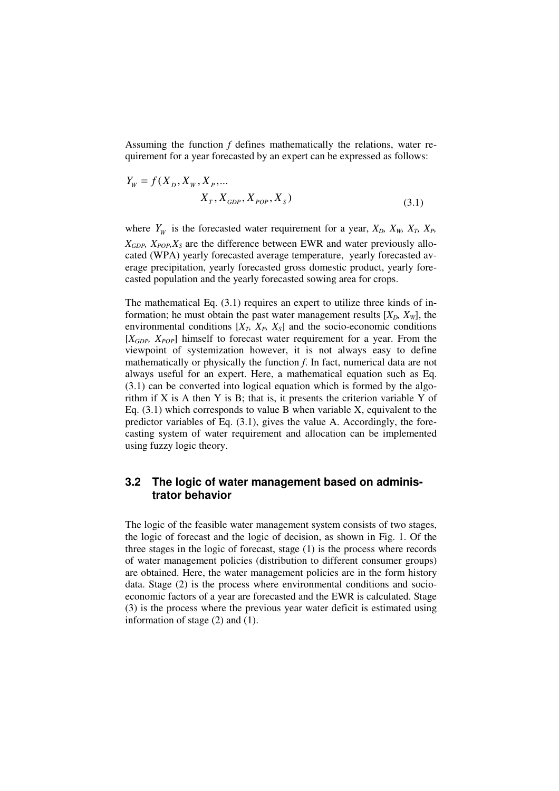Assuming the function *f* defines mathematically the relations, water requirement for a year forecasted by an expert can be expressed as follows:

$$
Y_{W} = f(X_{D}, X_{W}, X_{P}, ...
$$

$$
X_{T}, X_{GDP}, X_{POP}, X_{S})
$$
(3.1)

where  $Y_W$  is the forecasted water requirement for a year,  $X_D$ ,  $X_W$ ,  $X_T$ ,  $X_P$ ,  $X_{GDP}$ ,  $X_{POP}$ ,  $X_S$  are the difference between EWR and water previously allocated (WPA) yearly forecasted average temperature, yearly forecasted average precipitation, yearly forecasted gross domestic product, yearly forecasted population and the yearly forecasted sowing area for crops.

The mathematical Eq. (3.1) requires an expert to utilize three kinds of information; he must obtain the past water management results  $[X_D, X_W]$ , the environmental conditions  $[X_T, X_P, X_S]$  and the socio-economic conditions [*XGDP, XPOP*] himself to forecast water requirement for a year. From the viewpoint of systemization however, it is not always easy to define mathematically or physically the function *f*. In fact, numerical data are not always useful for an expert. Here, a mathematical equation such as Eq. (3.1) can be converted into logical equation which is formed by the algorithm if X is A then Y is B; that is, it presents the criterion variable Y of Eq.  $(3.1)$  which corresponds to value B when variable X, equivalent to the predictor variables of Eq. (3.1), gives the value A. Accordingly, the forecasting system of water requirement and allocation can be implemented using fuzzy logic theory.

## **3.2 The logic of water management based on administrator behavior**

The logic of the feasible water management system consists of two stages, the logic of forecast and the logic of decision, as shown in Fig. 1. Of the three stages in the logic of forecast, stage (1) is the process where records of water management policies (distribution to different consumer groups) are obtained. Here, the water management policies are in the form history data. Stage (2) is the process where environmental conditions and socioeconomic factors of a year are forecasted and the EWR is calculated. Stage (3) is the process where the previous year water deficit is estimated using information of stage (2) and (1).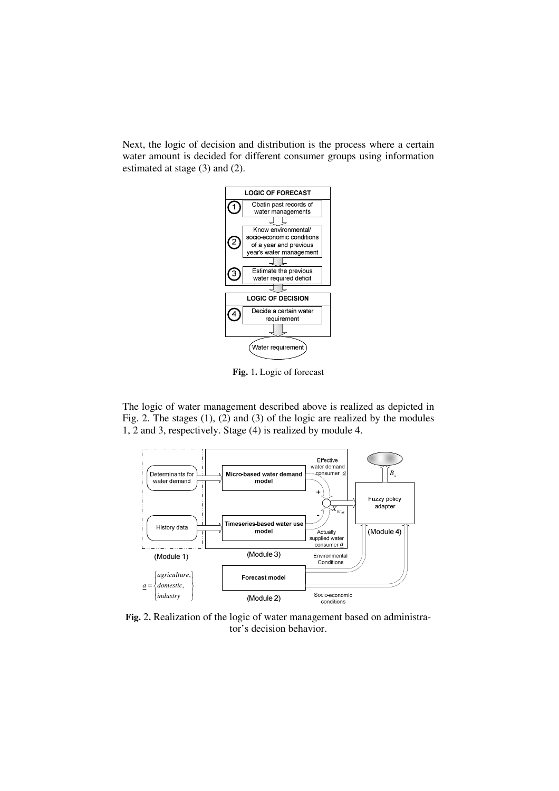Next, the logic of decision and distribution is the process where a certain water amount is decided for different consumer groups using information estimated at stage (3) and (2).



**Fig.** 1**.** Logic of forecast

The logic of water management described above is realized as depicted in Fig. 2. The stages (1), (2) and (3) of the logic are realized by the modules 1, 2 and 3, respectively. Stage (4) is realized by module 4.



**Fig.** 2**.** Realization of the logic of water management based on administrator's decision behavior.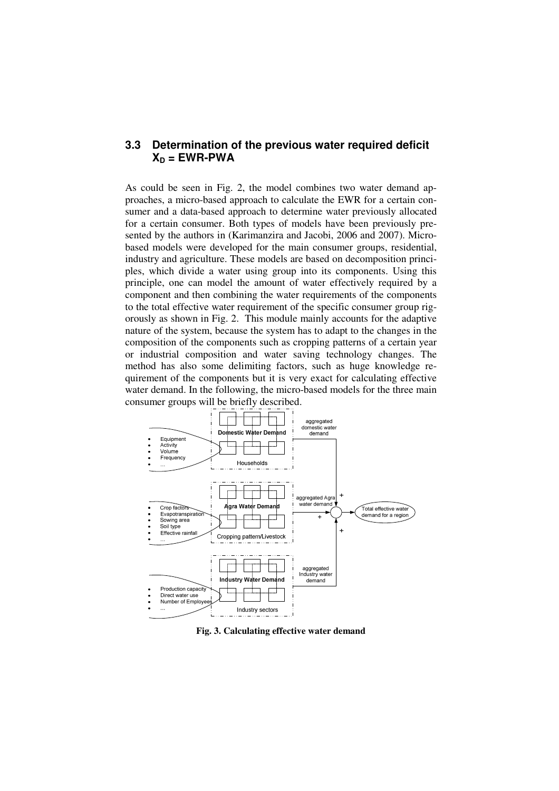## **3.3 Determination of the previous water required deficit**   $X_D = EWR-PWA$

As could be seen in Fig. 2, the model combines two water demand approaches, a micro-based approach to calculate the EWR for a certain consumer and a data-based approach to determine water previously allocated for a certain consumer. Both types of models have been previously presented by the authors in (Karimanzira and Jacobi, 2006 and 2007). Microbased models were developed for the main consumer groups, residential, industry and agriculture. These models are based on decomposition principles, which divide a water using group into its components. Using this principle, one can model the amount of water effectively required by a component and then combining the water requirements of the components to the total effective water requirement of the specific consumer group rigorously as shown in Fig. 2. This module mainly accounts for the adaptive nature of the system, because the system has to adapt to the changes in the composition of the components such as cropping patterns of a certain year or industrial composition and water saving technology changes. The method has also some delimiting factors, such as huge knowledge requirement of the components but it is very exact for calculating effective water demand. In the following, the micro-based models for the three main consumer groups will be briefly described.



**Fig. 3. Calculating effective water demand**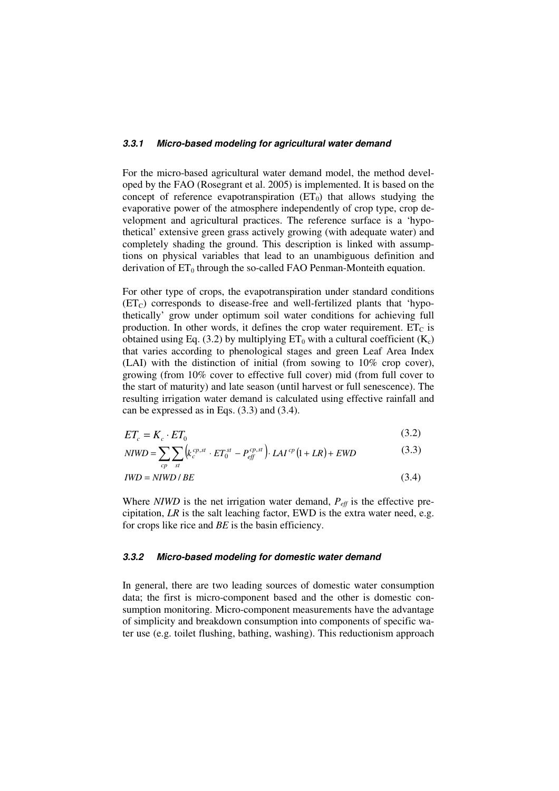#### **3.3.1 Micro-based modeling for agricultural water demand**

For the micro-based agricultural water demand model, the method developed by the FAO (Rosegrant et al. 2005) is implemented. It is based on the concept of reference evapotranspiration  $(ET_0)$  that allows studying the evaporative power of the atmosphere independently of crop type, crop development and agricultural practices. The reference surface is a 'hypothetical' extensive green grass actively growing (with adequate water) and completely shading the ground. This description is linked with assumptions on physical variables that lead to an unambiguous definition and derivation of  $ET_0$  through the so-called FAO Penman-Monteith equation.

For other type of crops, the evapotranspiration under standard conditions  $(ET_C)$  corresponds to disease-free and well-fertilized plants that 'hypothetically' grow under optimum soil water conditions for achieving full production. In other words, it defines the crop water requirement.  $ET_C$  is obtained using Eq. (3.2) by multiplying  $ET_0$  with a cultural coefficient (K<sub>c</sub>) that varies according to phenological stages and green Leaf Area Index (LAI) with the distinction of initial (from sowing to 10% crop cover), growing (from 10% cover to effective full cover) mid (from full cover to the start of maturity) and late season (until harvest or full senescence). The resulting irrigation water demand is calculated using effective rainfall and can be expressed as in Eqs. (3.3) and (3.4).

$$
ET_c = K_c \cdot ET_0 \tag{3.2}
$$

$$
NIWD = \sum_{cp} \sum_{st} \left( k_c^{cp,st} \cdot ET_0^{st} - P_{eff}^{cp,st} \right) \cdot LAI^{cp} (1 + LR) + EWD \tag{3.3}
$$

$$
IWD = NIWD / BE \tag{3.4}
$$

Where  $NIWD$  is the net irrigation water demand,  $P_{\text{eff}}$  is the effective precipitation, *LR* is the salt leaching factor, EWD is the extra water need, e.g. for crops like rice and *BE* is the basin efficiency.

#### **3.3.2 Micro-based modeling for domestic water demand**

In general, there are two leading sources of domestic water consumption data; the first is micro-component based and the other is domestic consumption monitoring. Micro-component measurements have the advantage of simplicity and breakdown consumption into components of specific water use (e.g. toilet flushing, bathing, washing). This reductionism approach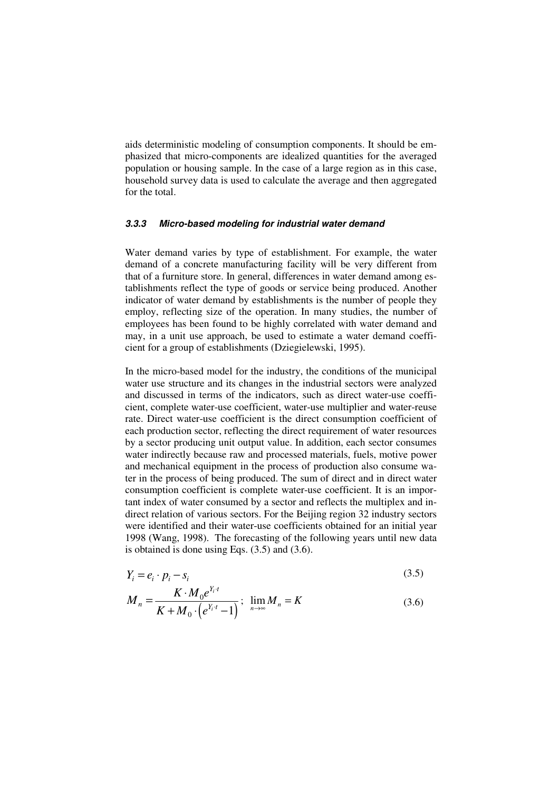aids deterministic modeling of consumption components. It should be emphasized that micro-components are idealized quantities for the averaged population or housing sample. In the case of a large region as in this case, household survey data is used to calculate the average and then aggregated for the total.

#### **3.3.3 Micro-based modeling for industrial water demand**

Water demand varies by type of establishment. For example, the water demand of a concrete manufacturing facility will be very different from that of a furniture store. In general, differences in water demand among establishments reflect the type of goods or service being produced. Another indicator of water demand by establishments is the number of people they employ, reflecting size of the operation. In many studies, the number of employees has been found to be highly correlated with water demand and may, in a unit use approach, be used to estimate a water demand coefficient for a group of establishments (Dziegielewski, 1995).

In the micro-based model for the industry, the conditions of the municipal water use structure and its changes in the industrial sectors were analyzed and discussed in terms of the indicators, such as direct water-use coefficient, complete water-use coefficient, water-use multiplier and water-reuse rate. Direct water-use coefficient is the direct consumption coefficient of each production sector, reflecting the direct requirement of water resources by a sector producing unit output value. In addition, each sector consumes water indirectly because raw and processed materials, fuels, motive power and mechanical equipment in the process of production also consume water in the process of being produced. The sum of direct and in direct water consumption coefficient is complete water-use coefficient. It is an important index of water consumed by a sector and reflects the multiplex and indirect relation of various sectors. For the Beijing region 32 industry sectors were identified and their water-use coefficients obtained for an initial year 1998 (Wang, 1998). The forecasting of the following years until new data is obtained is done using Eqs. (3.5) and (3.6).

$$
Y_i = e_i \cdot p_i - s_i \tag{3.5}
$$

$$
M_{n} = \frac{K \cdot M_{0} e^{Y_{i} \cdot t}}{K + M_{0} \cdot (e^{Y_{i} \cdot t} - 1)}; \ \lim_{n \to \infty} M_{n} = K
$$
\n(3.6)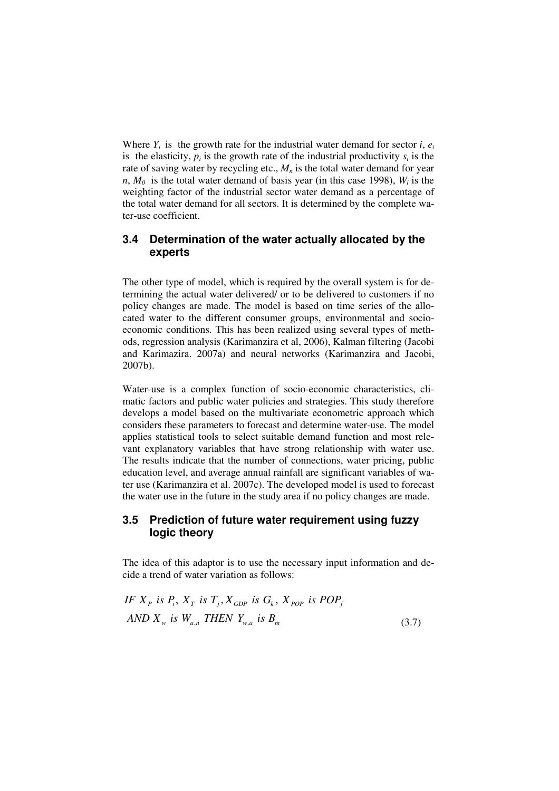Where  $Y_i$  is the growth rate for the industrial water demand for sector *i*,  $e_i$ is the elasticity,  $p_i$  is the growth rate of the industrial productivity  $s_i$  is the rate of saving water by recycling etc.,  $M_n$  is the total water demand for year  $n, M_0$  is the total water demand of basis year (in this case 1998),  $W_i$  is the weighting factor of the industrial sector water demand as a percentage of the total water demand for all sectors. It is determined by the complete water-use coefficient.

# **3.4 Determination of the water actually allocated by the experts**

The other type of model, which is required by the overall system is for determining the actual water delivered/ or to be delivered to customers if no policy changes are made. The model is based on time series of the allocated water to the different consumer groups, environmental and socioeconomic conditions. This has been realized using several types of methods, regression analysis (Karimanzira et al, 2006), Kalman filtering (Jacobi and Karimazira. 2007a) and neural networks (Karimanzira and Jacobi, 2007b).

Water-use is a complex function of socio-economic characteristics, climatic factors and public water policies and strategies. This study therefore develops a model based on the multivariate econometric approach which considers these parameters to forecast and determine water-use. The model applies statistical tools to select suitable demand function and most relevant explanatory variables that have strong relationship with water use. The results indicate that the number of connections, water pricing, public education level, and average annual rainfall are significant variables of water use (Karimanzira et al. 2007c). The developed model is used to forecast the water use in the future in the study area if no policy changes are made.

# **3.5 Prediction of future water requirement using fuzzy logic theory**

The idea of this adaptor is to use the necessary input information and decide a trend of water variation as follows:

IF 
$$
X_p
$$
 is  $P_i$ ,  $X_T$  is  $T_j$ ,  $X_{GDP}$  is  $G_k$ ,  $X_{POP}$  is  $POP_f$   
AND  $X_w$  is  $W_{a,n}$  THEN  $Y_{w,a}$  is  $B_m$  (3.7)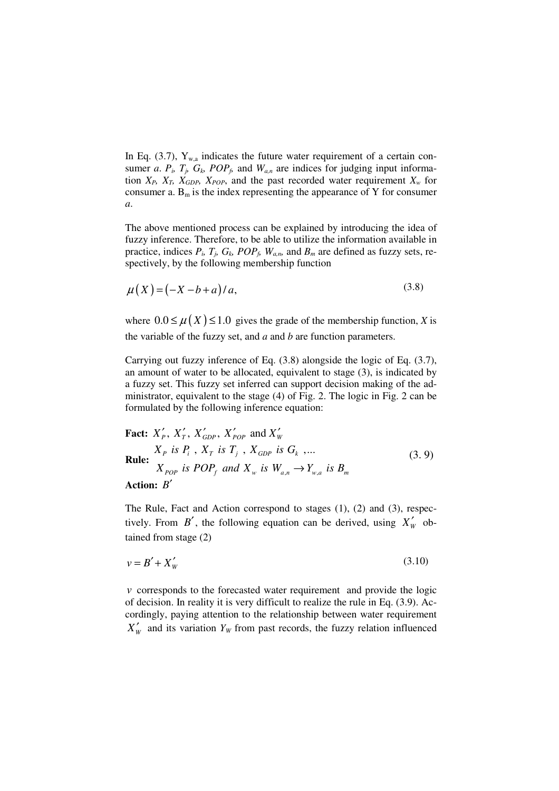In Eq. (3.7),  $Y_{wa}$  indicates the future water requirement of a certain consumer *a*.  $P_i$ ,  $T_j$ ,  $G_k$ ,  $POP_f$ , and  $W_{a,n}$  are indices for judging input information  $X_P$ ,  $X_T$ ,  $X_{GDP}$ ,  $X_{POP}$ , and the past recorded water requirement  $X_w$  for consumer a.  $B_m$  is the index representing the appearance of Y for consumer *a*.

The above mentioned process can be explained by introducing the idea of fuzzy inference. Therefore, to be able to utilize the information available in practice, indices  $P_i$ ,  $T_j$ ,  $G_k$ ,  $POP_f$ ,  $W_{a,n}$ , and  $B_m$  are defined as fuzzy sets, respectively, by the following membership function

$$
\mu(X) = (-X - b + a)/a,\tag{3.8}
$$

where  $0.0 \le \mu(X) \le 1.0$  gives the grade of the membership function, *X* is the variable of the fuzzy set, and *a* and *b* are function parameters.

Carrying out fuzzy inference of Eq. (3.8) alongside the logic of Eq. (3.7), an amount of water to be allocated, equivalent to stage (3), is indicated by a fuzzy set. This fuzzy set inferred can support decision making of the administrator, equivalent to the stage (4) of Fig. 2. The logic in Fig. 2 can be formulated by the following inference equation:

**Fact:**  $X'_{p}$ ,  $X'_{r}$ ,  $X'_{GDP}$ ,  $X'_{pop}$  and  $X'_{w}$ **Rule:**   $X_{pop}$  is POP<sub>f</sub> and  $X_w$  is  $W_{a,n} \to Y_{w,a}$  is  $B_m$  $X_P$  is  $P_i$ ,  $X_T$  is  $T_j$ ,  $X_{GDP}$  is  $G_k$ ,... (3. 9) **Action:** *B*′

The Rule, Fact and Action correspond to stages (1), (2) and (3), respectively. From  $B'$ , the following equation can be derived, using  $X'_w$  obtained from stage (2)

$$
v = B' + X'_w \tag{3.10}
$$

*v* corresponds to the forecasted water requirement and provide the logic of decision. In reality it is very difficult to realize the rule in Eq. (3.9). Accordingly, paying attention to the relationship between water requirement  $X'_w$  and its variation  $Y_w$  from past records, the fuzzy relation influenced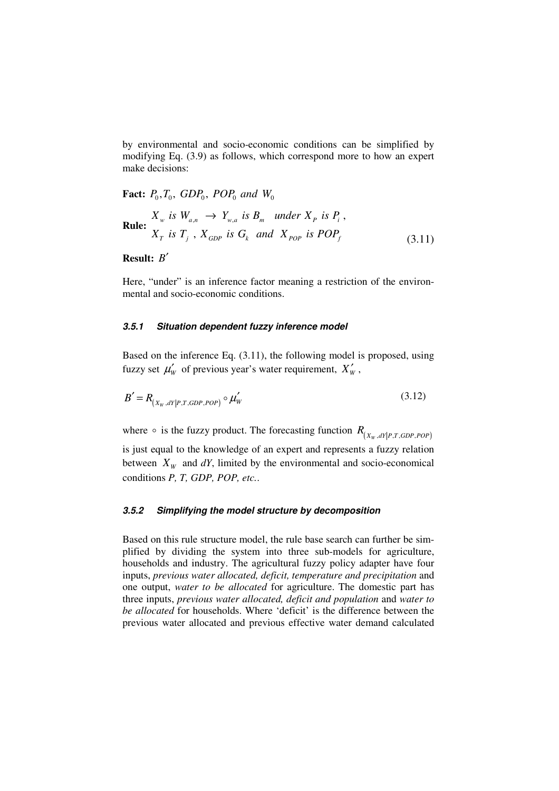by environmental and socio-economic conditions can be simplified by modifying Eq. (3.9) as follows, which correspond more to how an expert make decisions:

**Fact:**  $P_0, T_0, GDP_0, POP_0, and W_0$ 

**Rule:** 
$$
X_w
$$
 is  $W_{a,n} \rightarrow Y_{w,a}$  is  $B_m$  under  $X_p$  is  $P_i$ ,  $X_T$  is  $T_j$ ,  $X_{GDP}$  is  $G_k$  and  $X_{POP}$  is  $POP_f$   $(3.11)$ 

## **Result:** *B*′

Here, "under" is an inference factor meaning a restriction of the environmental and socio-economic conditions.

#### **3.5.1 Situation dependent fuzzy inference model**

Based on the inference Eq. (3.11), the following model is proposed, using fuzzy set  $\mu'_w$  of previous year's water requirement,  $X'_w$ ,

$$
B' = R_{(X_W, dY|P, T, GDP, POP)} \circ \mu'_W
$$
\n(3.12)

where  $\circ$  is the fuzzy product. The forecasting function  $R_{(X_w, dY | P, T, GDP, POP)}$ is just equal to the knowledge of an expert and represents a fuzzy relation between  $X_W$  and  $dY$ , limited by the environmental and socio-economical conditions *P, T, GDP, POP, etc.*.

#### **3.5.2 Simplifying the model structure by decomposition**

Based on this rule structure model, the rule base search can further be simplified by dividing the system into three sub-models for agriculture, households and industry. The agricultural fuzzy policy adapter have four inputs, *previous water allocated, deficit, temperature and precipitation* and one output, *water to be allocated* for agriculture. The domestic part has three inputs, *previous water allocated, deficit and population* and *water to be allocated* for households. Where 'deficit' is the difference between the previous water allocated and previous effective water demand calculated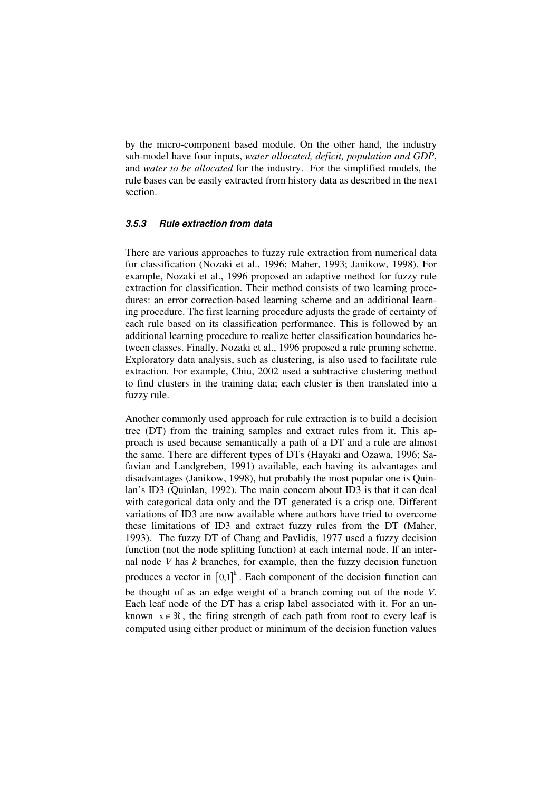by the micro-component based module. On the other hand, the industry sub-model have four inputs, *water allocated, deficit, population and GDP*, and *water to be allocated* for the industry. For the simplified models, the rule bases can be easily extracted from history data as described in the next section.

#### **3.5.3 Rule extraction from data**

There are various approaches to fuzzy rule extraction from numerical data for classification (Nozaki et al., 1996; Maher, 1993; Janikow, 1998). For example, Nozaki et al., 1996 proposed an adaptive method for fuzzy rule extraction for classification. Their method consists of two learning procedures: an error correction-based learning scheme and an additional learning procedure. The first learning procedure adjusts the grade of certainty of each rule based on its classification performance. This is followed by an additional learning procedure to realize better classification boundaries between classes. Finally, Nozaki et al., 1996 proposed a rule pruning scheme. Exploratory data analysis, such as clustering, is also used to facilitate rule extraction. For example, Chiu, 2002 used a subtractive clustering method to find clusters in the training data; each cluster is then translated into a fuzzy rule.

Another commonly used approach for rule extraction is to build a decision tree (DT) from the training samples and extract rules from it. This approach is used because semantically a path of a DT and a rule are almost the same. There are different types of DTs (Hayaki and Ozawa, 1996; Safavian and Landgreben, 1991) available, each having its advantages and disadvantages (Janikow, 1998), but probably the most popular one is Quinlan's ID3 (Quinlan, 1992). The main concern about ID3 is that it can deal with categorical data only and the DT generated is a crisp one. Different variations of ID3 are now available where authors have tried to overcome these limitations of ID3 and extract fuzzy rules from the DT (Maher, 1993). The fuzzy DT of Chang and Pavlidis, 1977 used a fuzzy decision function (not the node splitting function) at each internal node. If an internal node *V* has *k* branches, for example, then the fuzzy decision function produces a vector in  $[0,1]^{k}$ . Each component of the decision function can be thought of as an edge weight of a branch coming out of the node *V*. Each leaf node of the DT has a crisp label associated with it. For an unknown  $x \in \mathcal{R}$ , the firing strength of each path from root to every leaf is computed using either product or minimum of the decision function values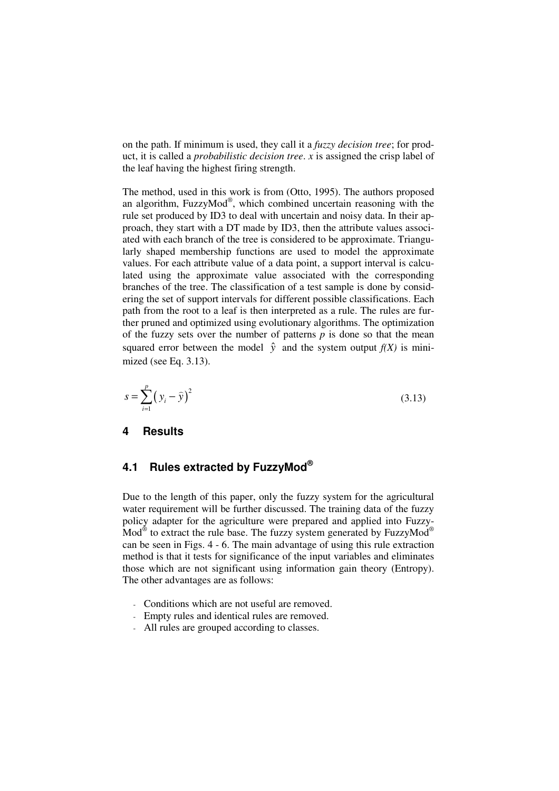on the path. If minimum is used, they call it a *fuzzy decision tree*; for product, it is called a *probabilistic decision tree*. *x* is assigned the crisp label of the leaf having the highest firing strength.

The method, used in this work is from (Otto, 1995). The authors proposed an algorithm, FuzzyMod®, which combined uncertain reasoning with the rule set produced by ID3 to deal with uncertain and noisy data. In their approach, they start with a DT made by ID3, then the attribute values associated with each branch of the tree is considered to be approximate. Triangularly shaped membership functions are used to model the approximate values. For each attribute value of a data point, a support interval is calculated using the approximate value associated with the corresponding branches of the tree. The classification of a test sample is done by considering the set of support intervals for different possible classifications. Each path from the root to a leaf is then interpreted as a rule. The rules are further pruned and optimized using evolutionary algorithms. The optimization of the fuzzy sets over the number of patterns *p* is done so that the mean squared error between the model  $\hat{v}$  and the system output  $f(X)$  is minimized (see Eq. 3.13).

$$
s = \sum_{i=1}^{p} (y_i - \hat{y})^2
$$
 (3.13)

### **4 Results**

## **4.1 Rules extracted by FuzzyMod®**

Due to the length of this paper, only the fuzzy system for the agricultural water requirement will be further discussed. The training data of the fuzzy policy adapter for the agriculture were prepared and applied into Fuzzy- $\text{Mod}^{\circledast}$  to extract the rule base. The fuzzy system generated by FuzzyMod $^{\circledast}$ can be seen in Figs. 4 - 6. The main advantage of using this rule extraction method is that it tests for significance of the input variables and eliminates those which are not significant using information gain theory (Entropy). The other advantages are as follows:

- Conditions which are not useful are removed.
- Empty rules and identical rules are removed.
- All rules are grouped according to classes.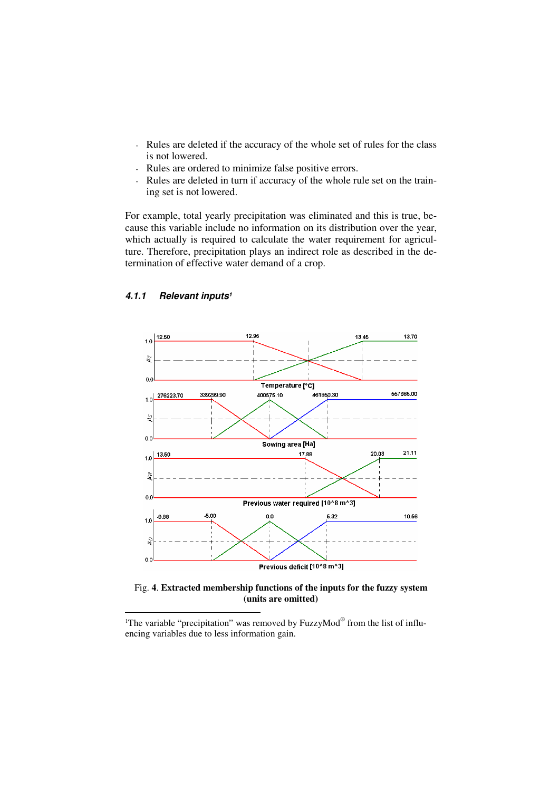- Rules are deleted if the accuracy of the whole set of rules for the class is not lowered.
- Rules are ordered to minimize false positive errors.
- Rules are deleted in turn if accuracy of the whole rule set on the training set is not lowered.

For example, total yearly precipitation was eliminated and this is true, because this variable include no information on its distribution over the year, which actually is required to calculate the water requirement for agriculture. Therefore, precipitation plays an indirect role as described in the determination of effective water demand of a crop.



#### **4.1.1 Relevant inputs<sup>1</sup>**

 $\overline{a}$ 

Fig. **4**. **Extracted membership functions of the inputs for the fuzzy system (units are omitted)** 

<sup>&</sup>lt;sup>1</sup>The variable "precipitation" was removed by FuzzyMod® from the list of influencing variables due to less information gain.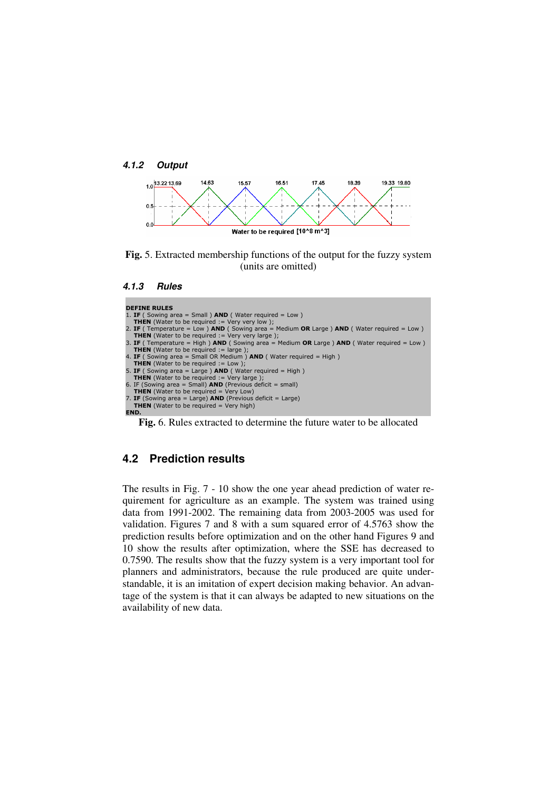



**Fig.** 5. Extracted membership functions of the output for the fuzzy system (units are omitted)

```
DEFINE RULES
1. IF ( Sowing area = Small ) AND ( Water required = Low )<br>
THEN (Water to be required := Very very low );<br>
2. IF ( Temperature = Low ) AND ( Sowing area = Medium OR Large ) AND ( Water required = Low )<br>
THEN
THEN (Water to be required := large );<br>4. IF ( Sowing area = Small OR Medium ) AND ( Water required = High )
THEN (Water to be required := Low );<br>5. IF ( Sowing area = Large ) AND ( Water required = High )<br>THEN (Water to be required := Very large );
6. IF (Sowing area = Small) AND (Previous deficit = small)
   THEN (Water to be required = Very Low)
7. IF (Sowing area = Large) AND (Previous deficit = Large)
   THEN (Water to be required = Very high)
END.
     Fig. 6. Rules extracted to determine the future water to be allocated
```
# **4.2 Prediction results**

The results in Fig. 7 - 10 show the one year ahead prediction of water requirement for agriculture as an example. The system was trained using data from 1991-2002. The remaining data from 2003-2005 was used for validation. Figures 7 and 8 with a sum squared error of 4.5763 show the prediction results before optimization and on the other hand Figures 9 and 10 show the results after optimization, where the SSE has decreased to 0.7590. The results show that the fuzzy system is a very important tool for planners and administrators, because the rule produced are quite understandable, it is an imitation of expert decision making behavior. An advantage of the system is that it can always be adapted to new situations on the availability of new data.

**<sup>4.1.3</sup> Rules**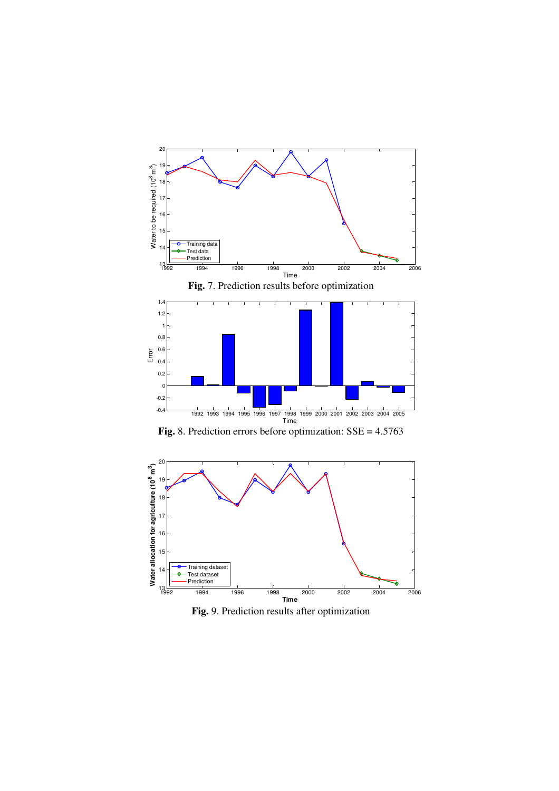



**Fig.** 9. Prediction results after optimization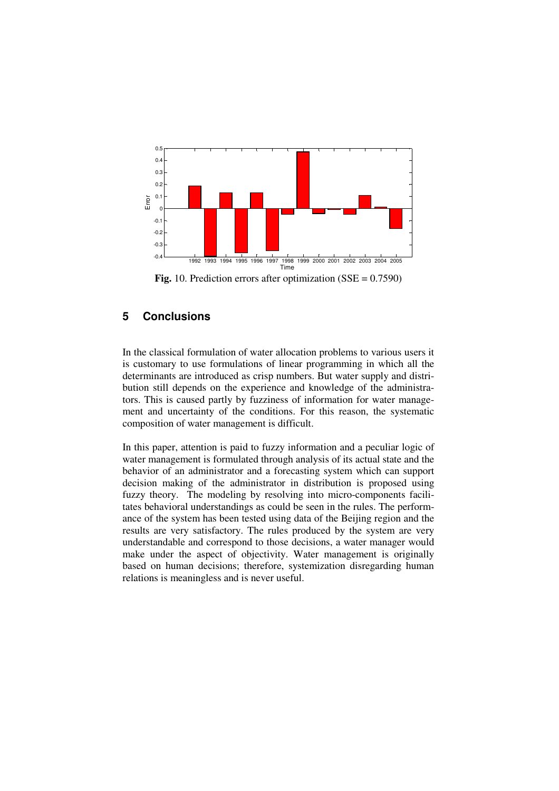

**Fig.** 10. Prediction errors after optimization (SSE = 0.7590)

# **5 Conclusions**

In the classical formulation of water allocation problems to various users it is customary to use formulations of linear programming in which all the determinants are introduced as crisp numbers. But water supply and distribution still depends on the experience and knowledge of the administrators. This is caused partly by fuzziness of information for water management and uncertainty of the conditions. For this reason, the systematic composition of water management is difficult.

In this paper, attention is paid to fuzzy information and a peculiar logic of water management is formulated through analysis of its actual state and the behavior of an administrator and a forecasting system which can support decision making of the administrator in distribution is proposed using fuzzy theory. The modeling by resolving into micro-components facilitates behavioral understandings as could be seen in the rules. The performance of the system has been tested using data of the Beijing region and the results are very satisfactory. The rules produced by the system are very understandable and correspond to those decisions, a water manager would make under the aspect of objectivity. Water management is originally based on human decisions; therefore, systemization disregarding human relations is meaningless and is never useful.